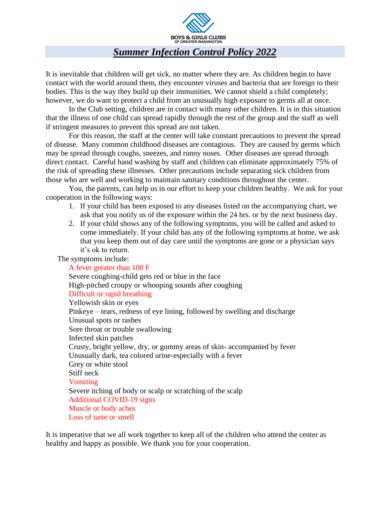

## *Summer Infection Control Policy 2022*

It is inevitable that children will get sick, no matter where they are. As children begin to have contact with the world around them, they encounter viruses and bacteria that are foreign to their bodies. This is the way they build up their immunities. We cannot shield a child completely; however, we do want to protect a child from an unusually high exposure to germs all at once.

In the Club setting, children are in contact with many other children. It is in this situation that the illness of one child can spread rapidly through the rest of the group and the staff as well if stringent measures to prevent this spread are not taken.

For this reason, the staff at the center will take constant precautions to prevent the spread of disease. Many common childhood diseases are contagious. They are caused by germs which may be spread through coughs, sneezes, and runny noses. Other diseases are spread through direct contact. Careful hand washing by staff and children can eliminate approximately 75% of the risk of spreading these illnesses. Other precautions include separating sick children from those who are well and working to maintain sanitary conditions throughout the center.

You, the parents, can help us in our effort to keep your children healthy. We ask for your cooperation in the following ways:

- 1. If your child has been exposed to any diseases listed on the accompanying chart, we ask that you notify us of the exposure within the 24 hrs. or by the next business day.
- 2. If your child shows any of the following symptoms, you will be called and asked to come immediately. If your child has any of the following symptoms at home, we ask that you keep them out of day care until the symptoms are gone or a physician says it's ok to return.

The symptoms include:

A fever greater than 100 F Severe coughing-child gets red or blue in the face High-pitched croupy or whooping sounds after coughing Difficult or rapid breathing Yellowish skin or eyes Pinkeye – tears, redness of eye lining, followed by swelling and discharge Unusual spots or rashes Sore throat or trouble swallowing Infected skin patches Crusty, bright yellow, dry, or gummy areas of skin- accompanied by fever Unusually dark, tea colored urine-especially with a fever Grey or white stool Stiff neck Vomiting Severe itching of body or scalp or scratching of the scalp Additional COVID-19 signs Muscle or body aches Loss of taste or smell

It is imperative that we all work together to keep all of the children who attend the center as healthy and happy as possible. We thank you for your cooperation.